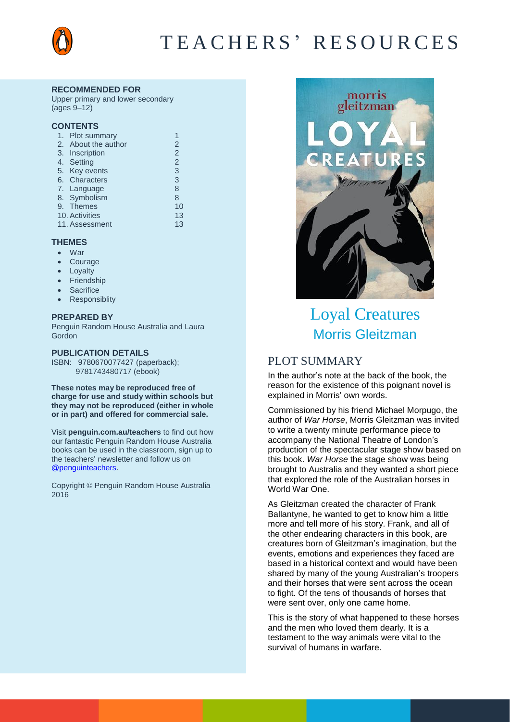

# TEACHERS' RESOURCES

#### **RECOMMENDED FOR**

Upper primary and lower secondary (ages 9–12)

### **CONTENTS**

| 1. Plot summary     |                |
|---------------------|----------------|
| 2. About the author | $\overline{2}$ |
| 3. Inscription      | $\overline{2}$ |
| 4. Setting          | $\overline{2}$ |
| 5. Key events       | 3              |
| 6. Characters       | 3              |
| 7. Language         | 8              |
| 8. Symbolism        | 8              |
| 9. Themes           | 10             |
| 10. Activities      | 13             |
| 11. Assessment      | 13             |

#### **THEMES**

- War
- Courage
- Loyalty
- Friendship
- **Sacrifice**
- Responsiblity

#### **PREPARED BY**

Penguin Random House Australia and Laura Gordon

### **PUBLICATION DETAILS**

ISBN: 9780670077427 (paperback); 9781743480717 (ebook)

**These notes may be reproduced free of charge for use and study within schools but they may not be reproduced (either in whole or in part) and offered for commercial sale.**

Visit **[penguin.com.au/teachers](http://www.penguin.com.au/teachers)** to find out how our fantastic Penguin Random House Australia books can be used in the classroom, sign up to the teachers' newsletter and follow us on [@penguinteachers.](http://twitter.com/penguinteachers)

Copyright © Penguin Random House Australia 2016



## Loyal Creatures Morris Gleitzman

### PLOT SUMMARY

In the author's note at the back of the book, the reason for the existence of this poignant novel is explained in Morris' own words.

Commissioned by his friend Michael Morpugo, the author of *War Horse*, Morris Gleitzman was invited to write a twenty minute performance piece to accompany the National Theatre of London's production of the spectacular stage show based on this book. *War Horse* the stage show was being brought to Australia and they wanted a short piece that explored the role of the Australian horses in World War One.

As Gleitzman created the character of Frank Ballantyne, he wanted to get to know him a little more and tell more of his story. Frank, and all of the other endearing characters in this book, are creatures born of Gleitzman's imagination, but the events, emotions and experiences they faced are based in a historical context and would have been shared by many of the young Australian's troopers and their horses that were sent across the ocean to fight. Of the tens of thousands of horses that were sent over, only one came home.

This is the story of what happened to these horses and the men who loved them dearly. It is a testament to the way animals were vital to the survival of humans in warfare.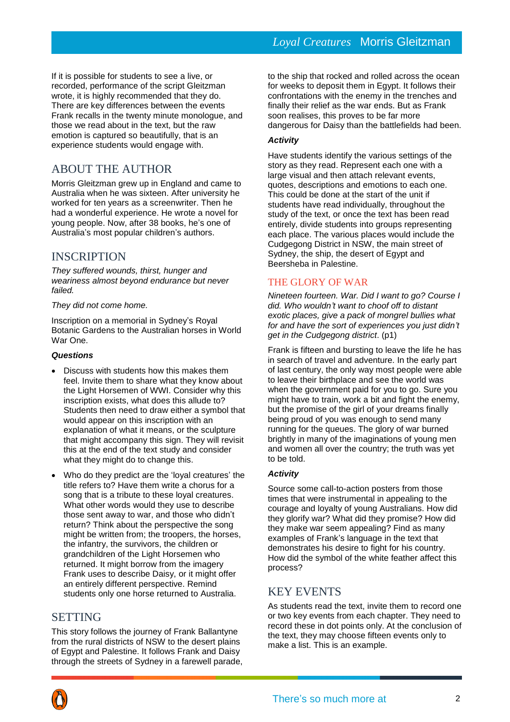If it is possible for students to see a live, or recorded, performance of the script Gleitzman wrote, it is highly recommended that they do. There are key differences between the events Frank recalls in the twenty minute monologue, and those we read about in the text, but the raw emotion is captured so beautifully, that is an experience students would engage with.

### ABOUT THE AUTHOR

Morris Gleitzman grew up in England and came to Australia when he was sixteen. After university he worked for ten years as a screenwriter. Then he had a wonderful experience. He wrote a novel for young people. Now, after 38 books, he's one of Australia's most popular children's authors.

### INSCRIPTION

*They suffered wounds, thirst, hunger and weariness almost beyond endurance but never failed.*

### *They did not come home.*

Inscription on a memorial in Sydney's Royal Botanic Gardens to the Australian horses in World War One.

### *Questions*

- Discuss with students how this makes them feel. Invite them to share what they know about the Light Horsemen of WWI. Consider why this inscription exists, what does this allude to? Students then need to draw either a symbol that would appear on this inscription with an explanation of what it means, or the sculpture that might accompany this sign. They will revisit this at the end of the text study and consider what they might do to change this.
- Who do they predict are the 'loyal creatures' the title refers to? Have them write a chorus for a song that is a tribute to these loyal creatures. What other words would they use to describe those sent away to war, and those who didn't return? Think about the perspective the song might be written from; the troopers, the horses, the infantry, the survivors, the children or grandchildren of the Light Horsemen who returned. It might borrow from the imagery Frank uses to describe Daisy, or it might offer an entirely different perspective. Remind students only one horse returned to Australia.

### SETTING

This story follows the journey of Frank Ballantyne from the rural districts of NSW to the desert plains of Egypt and Palestine. It follows Frank and Daisy through the streets of Sydney in a farewell parade,

to the ship that rocked and rolled across the ocean for weeks to deposit them in Egypt. It follows their confrontations with the enemy in the trenches and finally their relief as the war ends. But as Frank soon realises, this proves to be far more dangerous for Daisy than the battlefields had been.

### *Activity*

Have students identify the various settings of the story as they read. Represent each one with a large visual and then attach relevant events, quotes, descriptions and emotions to each one. This could be done at the start of the unit if students have read individually, throughout the study of the text, or once the text has been read entirely, divide students into groups representing each place. The various places would include the Cudgegong District in NSW, the main street of Sydney, the ship, the desert of Egypt and Beersheba in Palestine.

### THE GLORY OF WAR

*Nineteen fourteen. War. Did I want to go? Course I did. Who wouldn't want to choof off to distant exotic places, give a pack of mongrel bullies what for and have the sort of experiences you just didn't get in the Cudgegong district*. (p1)

Frank is fifteen and bursting to leave the life he has in search of travel and adventure. In the early part of last century, the only way most people were able to leave their birthplace and see the world was when the government paid for you to go. Sure you might have to train, work a bit and fight the enemy, but the promise of the girl of your dreams finally being proud of you was enough to send many running for the queues. The glory of war burned brightly in many of the imaginations of young men and women all over the country; the truth was yet to be told.

### *Activity*

Source some call-to-action posters from those times that were instrumental in appealing to the courage and loyalty of young Australians. How did they glorify war? What did they promise? How did they make war seem appealing? Find as many examples of Frank's language in the text that demonstrates his desire to fight for his country. How did the symbol of the white feather affect this process?

### KEY EVENTS

As students read the text, invite them to record one or two key events from each chapter. They need to record these in dot points only. At the conclusion of the text, they may choose fifteen events only to make a list. This is an example.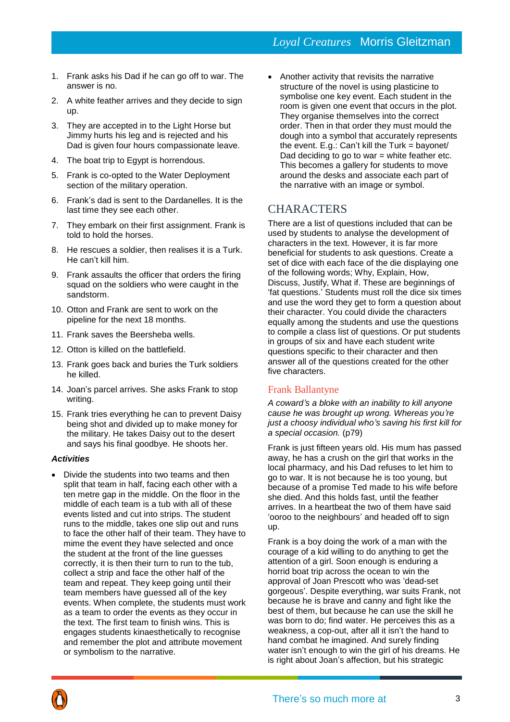- 1. Frank asks his Dad if he can go off to war. The answer is no.
- 2. A white feather arrives and they decide to sign up.
- 3. They are accepted in to the Light Horse but Jimmy hurts his leg and is rejected and his Dad is given four hours compassionate leave.
- 4. The boat trip to Egypt is horrendous.
- 5. Frank is co-opted to the Water Deployment section of the military operation.
- 6. Frank's dad is sent to the Dardanelles. It is the last time they see each other.
- 7. They embark on their first assignment. Frank is told to hold the horses.
- 8. He rescues a soldier, then realises it is a Turk. He can't kill him.
- 9. Frank assaults the officer that orders the firing squad on the soldiers who were caught in the sandstorm.
- 10. Otton and Frank are sent to work on the pipeline for the next 18 months.
- 11. Frank saves the Beersheba wells.
- 12. Otton is killed on the battlefield.
- 13. Frank goes back and buries the Turk soldiers he killed.
- 14. Joan's parcel arrives. She asks Frank to stop writing.
- 15. Frank tries everything he can to prevent Daisy being shot and divided up to make money for the military. He takes Daisy out to the desert and says his final goodbye. He shoots her.

#### *Activities*

 Divide the students into two teams and then split that team in half, facing each other with a ten metre gap in the middle. On the floor in the middle of each team is a tub with all of these events listed and cut into strips. The student runs to the middle, takes one slip out and runs to face the other half of their team. They have to mime the event they have selected and once the student at the front of the line guesses correctly, it is then their turn to run to the tub, collect a strip and face the other half of the team and repeat. They keep going until their team members have guessed all of the key events. When complete, the students must work as a team to order the events as they occur in the text. The first team to finish wins. This is engages students kinaesthetically to recognise and remember the plot and attribute movement or symbolism to the narrative.

 Another activity that revisits the narrative structure of the novel is using plasticine to symbolise one key event. Each student in the room is given one event that occurs in the plot. They organise themselves into the correct order. Then in that order they must mould the dough into a symbol that accurately represents the event. E.g.: Can't kill the Turk = bayonet/ Dad deciding to go to war  $=$  white feather etc. This becomes a gallery for students to move around the desks and associate each part of the narrative with an image or symbol.

### **CHARACTERS**

There are a list of questions included that can be used by students to analyse the development of characters in the text. However, it is far more beneficial for students to ask questions. Create a set of dice with each face of the die displaying one of the following words; Why, Explain, How, Discuss, Justify, What if. These are beginnings of 'fat questions.' Students must roll the dice six times and use the word they get to form a question about their character. You could divide the characters equally among the students and use the questions to compile a class list of questions. Or put students in groups of six and have each student write questions specific to their character and then answer all of the questions created for the other five characters.

### Frank Ballantyne

*A coward's a bloke with an inability to kill anyone cause he was brought up wrong. Whereas you're just a choosy individual who's saving his first kill for a special occasion.* (p79)

Frank is just fifteen years old. His mum has passed away, he has a crush on the girl that works in the local pharmacy, and his Dad refuses to let him to go to war. It is not because he is too young, but because of a promise Ted made to his wife before she died. And this holds fast, until the feather arrives. In a heartbeat the two of them have said 'ooroo to the neighbours' and headed off to sign up.

Frank is a boy doing the work of a man with the courage of a kid willing to do anything to get the attention of a girl. Soon enough is enduring a horrid boat trip across the ocean to win the approval of Joan Prescott who was 'dead-set gorgeous'. Despite everything, war suits Frank, not because he is brave and canny and fight like the best of them, but because he can use the skill he was born to do; find water. He perceives this as a weakness, a cop-out, after all it isn't the hand to hand combat he imagined. And surely finding water isn't enough to win the girl of his dreams. He is right about Joan's affection, but his strategic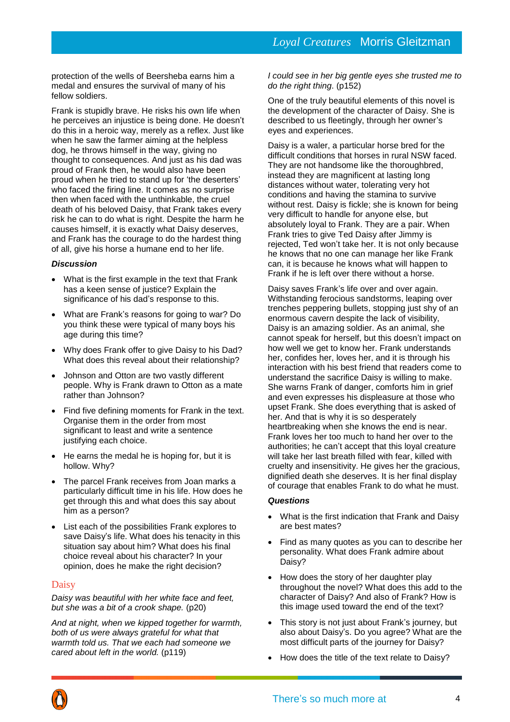protection of the wells of Beersheba earns him a medal and ensures the survival of many of his fellow soldiers.

Frank is stupidly brave. He risks his own life when he perceives an injustice is being done. He doesn't do this in a heroic way, merely as a reflex. Just like when he saw the farmer aiming at the helpless dog, he throws himself in the way, giving no thought to consequences. And just as his dad was proud of Frank then, he would also have been proud when he tried to stand up for 'the deserters' who faced the firing line. It comes as no surprise then when faced with the unthinkable, the cruel death of his beloved Daisy, that Frank takes every risk he can to do what is right. Despite the harm he causes himself, it is exactly what Daisy deserves, and Frank has the courage to do the hardest thing of all, give his horse a humane end to her life.

### *Discussion*

- What is the first example in the text that Frank has a keen sense of justice? Explain the significance of his dad's response to this.
- What are Frank's reasons for going to war? Do you think these were typical of many boys his age during this time?
- Why does Frank offer to give Daisy to his Dad? What does this reveal about their relationship?
- Johnson and Otton are two vastly different people. Why is Frank drawn to Otton as a mate rather than Johnson?
- Find five defining moments for Frank in the text. Organise them in the order from most significant to least and write a sentence justifying each choice.
- He earns the medal he is hoping for, but it is hollow. Why?
- The parcel Frank receives from Joan marks a particularly difficult time in his life. How does he get through this and what does this say about him as a person?
- List each of the possibilities Frank explores to save Daisy's life. What does his tenacity in this situation say about him? What does his final choice reveal about his character? In your opinion, does he make the right decision?

### Daisy

*Daisy was beautiful with her white face and feet, but she was a bit of a crook shape.* (p20)

*And at night, when we kipped together for warmth, both of us were always grateful for what that warmth told us. That we each had someone we cared about left in the world.* (p119)

*I could see in her big gentle eyes she trusted me to do the right thing*. (p152)

One of the truly beautiful elements of this novel is the development of the character of Daisy. She is described to us fleetingly, through her owner's eyes and experiences.

Daisy is a waler, a particular horse bred for the difficult conditions that horses in rural NSW faced. They are not handsome like the thoroughbred, instead they are magnificent at lasting long distances without water, tolerating very hot conditions and having the stamina to survive without rest. Daisy is fickle; she is known for being very difficult to handle for anyone else, but absolutely loyal to Frank. They are a pair. When Frank tries to give Ted Daisy after Jimmy is rejected, Ted won't take her. It is not only because he knows that no one can manage her like Frank can, it is because he knows what will happen to Frank if he is left over there without a horse.

Daisy saves Frank's life over and over again. Withstanding ferocious sandstorms, leaping over trenches peppering bullets, stopping just shy of an enormous cavern despite the lack of visibility, Daisy is an amazing soldier. As an animal, she cannot speak for herself, but this doesn't impact on how well we get to know her. Frank understands her, confides her, loves her, and it is through his interaction with his best friend that readers come to understand the sacrifice Daisy is willing to make. She warns Frank of danger, comforts him in grief and even expresses his displeasure at those who upset Frank. She does everything that is asked of her. And that is why it is so desperately heartbreaking when she knows the end is near. Frank loves her too much to hand her over to the authorities; he can't accept that this loyal creature will take her last breath filled with fear, killed with cruelty and insensitivity. He gives her the gracious, dignified death she deserves. It is her final display of courage that enables Frank to do what he must.

#### *Questions*

- What is the first indication that Frank and Daisy are best mates?
- Find as many quotes as you can to describe her personality. What does Frank admire about Daisy?
- How does the story of her daughter play throughout the novel? What does this add to the character of Daisy? And also of Frank? How is this image used toward the end of the text?
- This story is not just about Frank's journey, but also about Daisy's. Do you agree? What are the most difficult parts of the journey for Daisy?
- How does the title of the text relate to Daisy?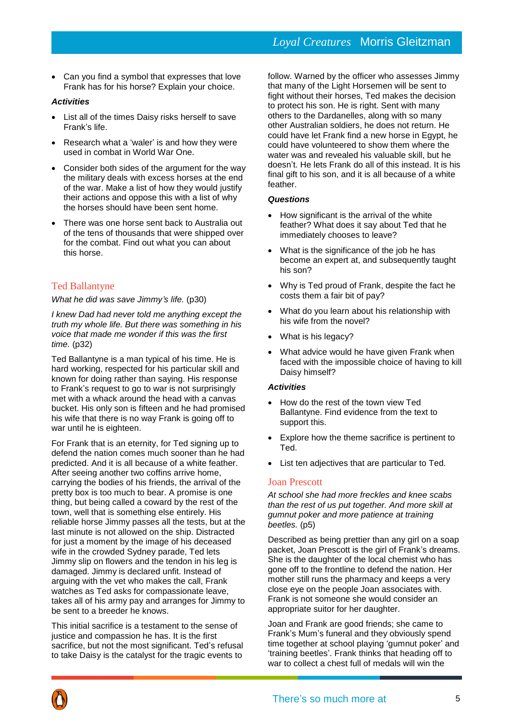Can you find a symbol that expresses that love Frank has for his horse? Explain your choice.

### *Activities*

- List all of the times Daisy risks herself to save Frank's life.
- Research what a 'waler' is and how they were used in combat in World War One.
- Consider both sides of the argument for the way the military deals with excess horses at the end of the war. Make a list of how they would justify their actions and oppose this with a list of why the horses should have been sent home.
- There was one horse sent back to Australia out of the tens of thousands that were shipped over for the combat. Find out what you can about this horse.

### Ted Ballantyne

#### *What he did was save Jimmy's life.* (p30)

*I knew Dad had never told me anything except the truth my whole life. But there was something in his voice that made me wonder if this was the first time.* (p32)

Ted Ballantyne is a man typical of his time. He is hard working, respected for his particular skill and known for doing rather than saying. His response to Frank's request to go to war is not surprisingly met with a whack around the head with a canvas bucket. His only son is fifteen and he had promised his wife that there is no way Frank is going off to war until he is eighteen.

For Frank that is an eternity, for Ted signing up to defend the nation comes much sooner than he had predicted. And it is all because of a white feather. After seeing another two coffins arrive home, carrying the bodies of his friends, the arrival of the pretty box is too much to bear. A promise is one thing, but being called a coward by the rest of the town, well that is something else entirely. His reliable horse Jimmy passes all the tests, but at the last minute is not allowed on the ship. Distracted for just a moment by the image of his deceased wife in the crowded Sydney parade, Ted lets Jimmy slip on flowers and the tendon in his leg is damaged. Jimmy is declared unfit. Instead of arguing with the vet who makes the call, Frank watches as Ted asks for compassionate leave, takes all of his army pay and arranges for Jimmy to be sent to a breeder he knows.

This initial sacrifice is a testament to the sense of justice and compassion he has. It is the first sacrifice, but not the most significant. Ted's refusal to take Daisy is the catalyst for the tragic events to

follow. Warned by the officer who assesses Jimmy that many of the Light Horsemen will be sent to fight without their horses, Ted makes the decision to protect his son. He is right. Sent with many others to the Dardanelles, along with so many other Australian soldiers, he does not return. He could have let Frank find a new horse in Egypt, he could have volunteered to show them where the water was and revealed his valuable skill, but he doesn't. He lets Frank do all of this instead. It is his final gift to his son, and it is all because of a white feather.

### *Questions*

- How significant is the arrival of the white feather? What does it say about Ted that he immediately chooses to leave?
- What is the significance of the job he has become an expert at, and subsequently taught his son?
- Why is Ted proud of Frank, despite the fact he costs them a fair bit of pay?
- What do you learn about his relationship with his wife from the novel?
- What is his legacy?
- What advice would he have given Frank when faced with the impossible choice of having to kill Daisy himself?

### *Activities*

- How do the rest of the town view Ted Ballantyne. Find evidence from the text to support this.
- Explore how the theme sacrifice is pertinent to Ted.
- List ten adjectives that are particular to Ted.

### Joan Prescott

*At school she had more freckles and knee scabs than the rest of us put together. And more skill at gumnut poker and more patience at training beetles.* (p5)

Described as being prettier than any girl on a soap packet, Joan Prescott is the girl of Frank's dreams. She is the daughter of the local chemist who has gone off to the frontline to defend the nation. Her mother still runs the pharmacy and keeps a very close eye on the people Joan associates with. Frank is not someone she would consider an appropriate suitor for her daughter.

Joan and Frank are good friends; she came to Frank's Mum's funeral and they obviously spend time together at school playing 'gumnut poker' and 'training beetles'. Frank thinks that heading off to war to collect a chest full of medals will win the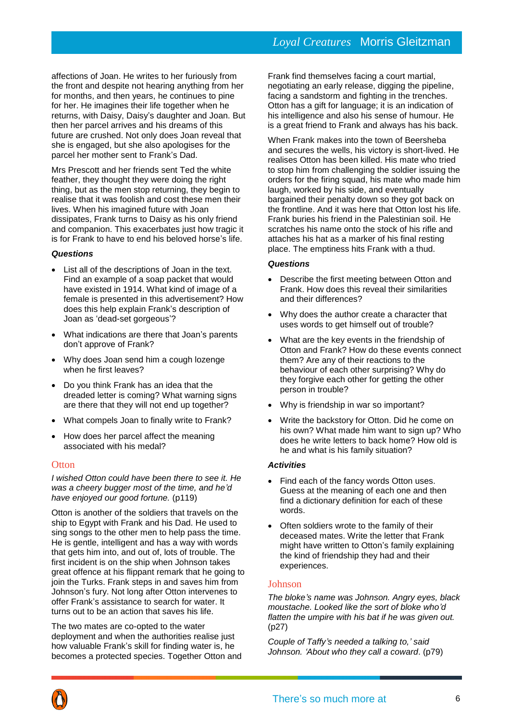affections of Joan. He writes to her furiously from the front and despite not hearing anything from her for months, and then years, he continues to pine for her. He imagines their life together when he returns, with Daisy, Daisy's daughter and Joan. But then her parcel arrives and his dreams of this future are crushed. Not only does Joan reveal that she is engaged, but she also apologises for the parcel her mother sent to Frank's Dad.

Mrs Prescott and her friends sent Ted the white feather, they thought they were doing the right thing, but as the men stop returning, they begin to realise that it was foolish and cost these men their lives. When his imagined future with Joan dissipates, Frank turns to Daisy as his only friend and companion. This exacerbates just how tragic it is for Frank to have to end his beloved horse's life.

### *Questions*

- List all of the descriptions of Joan in the text. Find an example of a soap packet that would have existed in 1914. What kind of image of a female is presented in this advertisement? How does this help explain Frank's description of Joan as 'dead-set gorgeous'?
- What indications are there that Joan's parents don't approve of Frank?
- Why does Joan send him a cough lozenge when he first leaves?
- Do you think Frank has an idea that the dreaded letter is coming? What warning signs are there that they will not end up together?
- What compels Joan to finally write to Frank?
- How does her parcel affect the meaning associated with his medal?

### **Otton**

*I wished Otton could have been there to see it. He was a cheery bugger most of the time, and he'd have enjoyed our good fortune.* (p119)

Otton is another of the soldiers that travels on the ship to Egypt with Frank and his Dad. He used to sing songs to the other men to help pass the time. He is gentle, intelligent and has a way with words that gets him into, and out of, lots of trouble. The first incident is on the ship when Johnson takes great offence at his flippant remark that he going to join the Turks. Frank steps in and saves him from Johnson's fury. Not long after Otton intervenes to offer Frank's assistance to search for water. It turns out to be an action that saves his life.

The two mates are co-opted to the water deployment and when the authorities realise just how valuable Frank's skill for finding water is, he becomes a protected species. Together Otton and

Frank find themselves facing a court martial, negotiating an early release, digging the pipeline, facing a sandstorm and fighting in the trenches. Otton has a gift for language; it is an indication of his intelligence and also his sense of humour. He is a great friend to Frank and always has his back.

When Frank makes into the town of Beersheba and secures the wells, his victory is short-lived. He realises Otton has been killed. His mate who tried to stop him from challenging the soldier issuing the orders for the firing squad, his mate who made him laugh, worked by his side, and eventually bargained their penalty down so they got back on the frontline. And it was here that Otton lost his life. Frank buries his friend in the Palestinian soil. He scratches his name onto the stock of his rifle and attaches his hat as a marker of his final resting place. The emptiness hits Frank with a thud.

### *Questions*

- Describe the first meeting between Otton and Frank. How does this reveal their similarities and their differences?
- Why does the author create a character that uses words to get himself out of trouble?
- What are the key events in the friendship of Otton and Frank? How do these events connect them? Are any of their reactions to the behaviour of each other surprising? Why do they forgive each other for getting the other person in trouble?
- Why is friendship in war so important?
- Write the backstory for Otton. Did he come on his own? What made him want to sign up? Who does he write letters to back home? How old is he and what is his family situation?

### *Activities*

- Find each of the fancy words Otton uses. Guess at the meaning of each one and then find a dictionary definition for each of these words.
- Often soldiers wrote to the family of their deceased mates. Write the letter that Frank might have written to Otton's family explaining the kind of friendship they had and their experiences.

### Johnson

*The bloke's name was Johnson. Angry eyes, black moustache. Looked like the sort of bloke who'd flatten the umpire with his bat if he was given out.* (p27)

*Couple of Taffy's needed a talking to,' said Johnson. 'About who they call a coward*. (p79)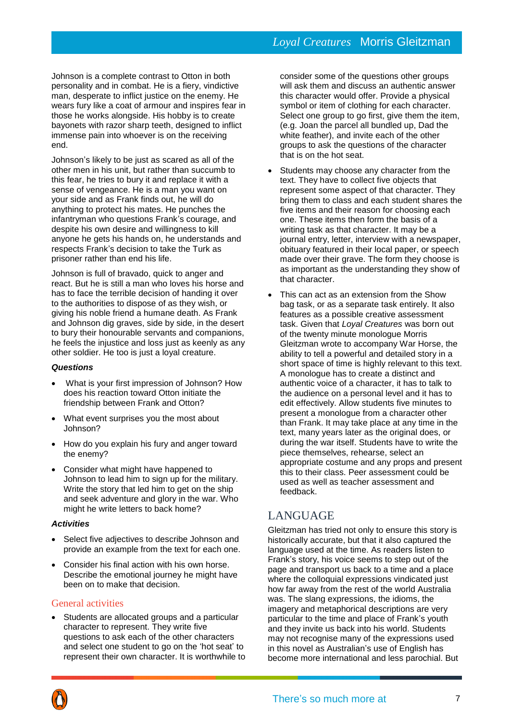Johnson is a complete contrast to Otton in both personality and in combat. He is a fiery, vindictive man, desperate to inflict justice on the enemy. He wears fury like a coat of armour and inspires fear in those he works alongside. His hobby is to create bayonets with razor sharp teeth, designed to inflict immense pain into whoever is on the receiving end.

Johnson's likely to be just as scared as all of the other men in his unit, but rather than succumb to this fear, he tries to bury it and replace it with a sense of vengeance. He is a man you want on your side and as Frank finds out, he will do anything to protect his mates. He punches the infantryman who questions Frank's courage, and despite his own desire and willingness to kill anyone he gets his hands on, he understands and respects Frank's decision to take the Turk as prisoner rather than end his life.

Johnson is full of bravado, quick to anger and react. But he is still a man who loves his horse and has to face the terrible decision of handing it over to the authorities to dispose of as they wish, or giving his noble friend a humane death. As Frank and Johnson dig graves, side by side, in the desert to bury their honourable servants and companions, he feels the injustice and loss just as keenly as any other soldier. He too is just a loyal creature.

### *Questions*

- What is your first impression of Johnson? How does his reaction toward Otton initiate the friendship between Frank and Otton?
- What event surprises you the most about Johnson?
- How do you explain his fury and anger toward the enemy?
- Consider what might have happened to Johnson to lead him to sign up for the military. Write the story that led him to get on the ship and seek adventure and glory in the war. Who might he write letters to back home?

### *Activities*

- Select five adjectives to describe Johnson and provide an example from the text for each one.
- Consider his final action with his own horse. Describe the emotional journey he might have been on to make that decision.

### General activities

 Students are allocated groups and a particular character to represent. They write five questions to ask each of the other characters and select one student to go on the 'hot seat' to represent their own character. It is worthwhile to

consider some of the questions other groups will ask them and discuss an authentic answer this character would offer. Provide a physical symbol or item of clothing for each character. Select one group to go first, give them the item, (e.g. Joan the parcel all bundled up, Dad the white feather), and invite each of the other groups to ask the questions of the character that is on the hot seat.

- Students may choose any character from the text. They have to collect five objects that represent some aspect of that character. They bring them to class and each student shares the five items and their reason for choosing each one. These items then form the basis of a writing task as that character. It may be a journal entry, letter, interview with a newspaper, obituary featured in their local paper, or speech made over their grave. The form they choose is as important as the understanding they show of that character.
- This can act as an extension from the Show bag task, or as a separate task entirely. It also features as a possible creative assessment task. Given that *Loyal Creatures* was born out of the twenty minute monologue Morris Gleitzman wrote to accompany War Horse, the ability to tell a powerful and detailed story in a short space of time is highly relevant to this text. A monologue has to create a distinct and authentic voice of a character, it has to talk to the audience on a personal level and it has to edit effectively. Allow students five minutes to present a monologue from a character other than Frank. It may take place at any time in the text, many years later as the original does, or during the war itself. Students have to write the piece themselves, rehearse, select an appropriate costume and any props and present this to their class. Peer assessment could be used as well as teacher assessment and feedback.

### LANGUAGE

Gleitzman has tried not only to ensure this story is historically accurate, but that it also captured the language used at the time. As readers listen to Frank's story, his voice seems to step out of the page and transport us back to a time and a place where the colloquial expressions vindicated just how far away from the rest of the world Australia was. The slang expressions, the idioms, the imagery and metaphorical descriptions are very particular to the time and place of Frank's youth and they invite us back into his world. Students may not recognise many of the expressions used in this novel as Australian's use of English has become more international and less parochial. But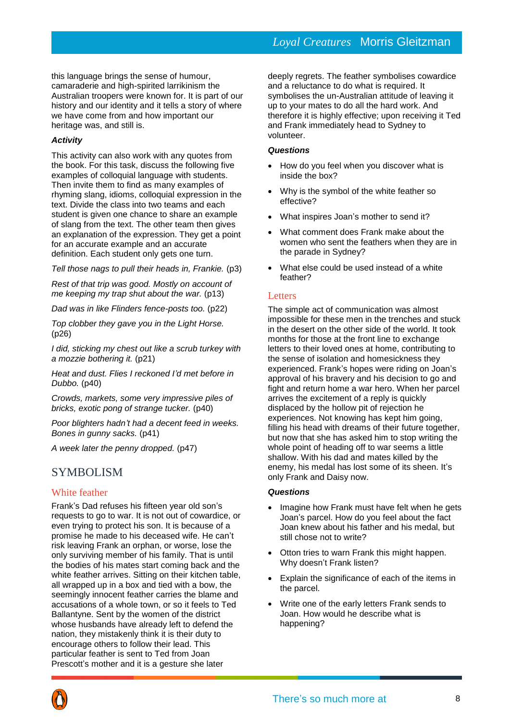this language brings the sense of humour, camaraderie and high-spirited larrikinism the Australian troopers were known for. It is part of our history and our identity and it tells a story of where we have come from and how important our heritage was, and still is.

### *Activity*

This activity can also work with any quotes from the book. For this task, discuss the following five examples of colloquial language with students. Then invite them to find as many examples of rhyming slang, idioms, colloquial expression in the text. Divide the class into two teams and each student is given one chance to share an example of slang from the text. The other team then gives an explanation of the expression. They get a point for an accurate example and an accurate definition. Each student only gets one turn.

*Tell those nags to pull their heads in, Frankie.* (p3)

*Rest of that trip was good. Mostly on account of me keeping my trap shut about the war.* (p13)

*Dad was in like Flinders fence-posts too.* (p22)

*Top clobber they gave you in the Light Horse.* (p26)

*I did, sticking my chest out like a scrub turkey with a mozzie bothering it.* (p21)

*Heat and dust. Flies I reckoned I'd met before in Dubbo.* (p40)

*Crowds, markets, some very impressive piles of bricks, exotic pong of strange tucker.* (p40)

*Poor blighters hadn't had a decent feed in weeks. Bones in gunny sacks.* (p41)

*A week later the penny dropped.* (p47)

### SYMBOLISM

### White feather

Frank's Dad refuses his fifteen year old son's requests to go to war. It is not out of cowardice, or even trying to protect his son. It is because of a promise he made to his deceased wife. He can't risk leaving Frank an orphan, or worse, lose the only surviving member of his family. That is until the bodies of his mates start coming back and the white feather arrives. Sitting on their kitchen table, all wrapped up in a box and tied with a bow, the seemingly innocent feather carries the blame and accusations of a whole town, or so it feels to Ted Ballantyne. Sent by the women of the district whose husbands have already left to defend the nation, they mistakenly think it is their duty to encourage others to follow their lead. This particular feather is sent to Ted from Joan Prescott's mother and it is a gesture she later

deeply regrets. The feather symbolises cowardice and a reluctance to do what is required. It symbolises the un-Australian attitude of leaving it up to your mates to do all the hard work. And therefore it is highly effective; upon receiving it Ted and Frank immediately head to Sydney to volunteer.

### *Questions*

- How do you feel when you discover what is inside the box?
- Why is the symbol of the white feather so effective?
- What inspires Joan's mother to send it?
- What comment does Frank make about the women who sent the feathers when they are in the parade in Sydney?
- What else could be used instead of a white feather?

### Letters

The simple act of communication was almost impossible for these men in the trenches and stuck in the desert on the other side of the world. It took months for those at the front line to exchange letters to their loved ones at home, contributing to the sense of isolation and homesickness they experienced. Frank's hopes were riding on Joan's approval of his bravery and his decision to go and fight and return home a war hero. When her parcel arrives the excitement of a reply is quickly displaced by the hollow pit of rejection he experiences. Not knowing has kept him going, filling his head with dreams of their future together, but now that she has asked him to stop writing the whole point of heading off to war seems a little shallow. With his dad and mates killed by the enemy, his medal has lost some of its sheen. It's only Frank and Daisy now.

### *Questions*

- Imagine how Frank must have felt when he gets Joan's parcel. How do you feel about the fact Joan knew about his father and his medal, but still chose not to write?
- Otton tries to warn Frank this might happen. Why doesn't Frank listen?
- Explain the significance of each of the items in the parcel.
- Write one of the early letters Frank sends to Joan. How would he describe what is happening?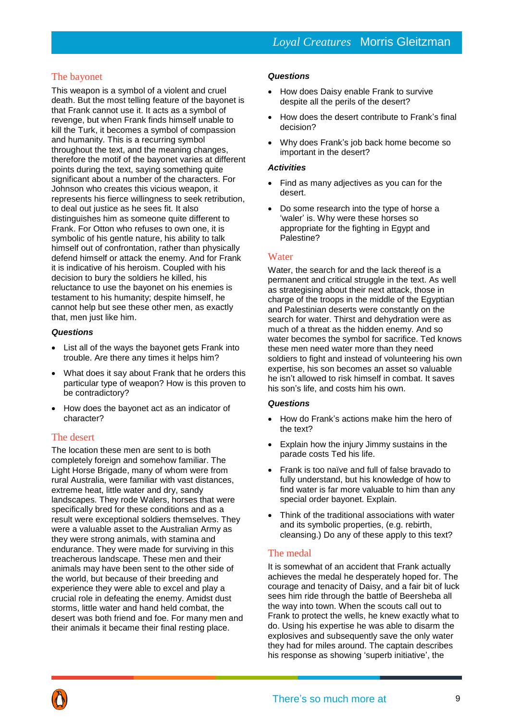### The bayonet

This weapon is a symbol of a violent and cruel death. But the most telling feature of the bayonet is that Frank cannot use it. It acts as a symbol of revenge, but when Frank finds himself unable to kill the Turk, it becomes a symbol of compassion and humanity. This is a recurring symbol throughout the text, and the meaning changes, therefore the motif of the bayonet varies at different points during the text, saying something quite significant about a number of the characters. For Johnson who creates this vicious weapon, it represents his fierce willingness to seek retribution, to deal out justice as he sees fit. It also distinguishes him as someone quite different to Frank. For Otton who refuses to own one, it is symbolic of his gentle nature, his ability to talk himself out of confrontation, rather than physically defend himself or attack the enemy. And for Frank it is indicative of his heroism. Coupled with his decision to bury the soldiers he killed, his reluctance to use the bayonet on his enemies is testament to his humanity; despite himself, he cannot help but see these other men, as exactly that, men just like him.

### *Questions*

- List all of the ways the bayonet gets Frank into trouble. Are there any times it helps him?
- What does it say about Frank that he orders this particular type of weapon? How is this proven to be contradictory?
- How does the bayonet act as an indicator of character?

### The desert

The location these men are sent to is both completely foreign and somehow familiar. The Light Horse Brigade, many of whom were from rural Australia, were familiar with vast distances, extreme heat, little water and dry, sandy landscapes. They rode Walers, horses that were specifically bred for these conditions and as a result were exceptional soldiers themselves. They were a valuable asset to the Australian Army as they were strong animals, with stamina and endurance. They were made for surviving in this treacherous landscape. These men and their animals may have been sent to the other side of the world, but because of their breeding and experience they were able to excel and play a crucial role in defeating the enemy. Amidst dust storms, little water and hand held combat, the desert was both friend and foe. For many men and their animals it became their final resting place.

### *Questions*

- How does Daisy enable Frank to survive despite all the perils of the desert?
- How does the desert contribute to Frank's final decision?
- Why does Frank's job back home become so important in the desert?

### *Activities*

- Find as many adjectives as you can for the desert.
- Do some research into the type of horse a 'waler' is. Why were these horses so appropriate for the fighting in Egypt and Palestine?

### **Water**

Water, the search for and the lack thereof is a permanent and critical struggle in the text. As well as strategising about their next attack, those in charge of the troops in the middle of the Egyptian and Palestinian deserts were constantly on the search for water. Thirst and dehydration were as much of a threat as the hidden enemy. And so water becomes the symbol for sacrifice. Ted knows these men need water more than they need soldiers to fight and instead of volunteering his own expertise, his son becomes an asset so valuable he isn't allowed to risk himself in combat. It saves his son's life, and costs him his own.

### *Questions*

- How do Frank's actions make him the hero of the text?
- Explain how the injury Jimmy sustains in the parade costs Ted his life.
- Frank is too naïve and full of false bravado to fully understand, but his knowledge of how to find water is far more valuable to him than any special order bayonet. Explain.
- Think of the traditional associations with water and its symbolic properties, (e.g. rebirth, cleansing.) Do any of these apply to this text?

### The medal

It is somewhat of an accident that Frank actually achieves the medal he desperately hoped for. The courage and tenacity of Daisy, and a fair bit of luck sees him ride through the battle of Beersheba all the way into town. When the scouts call out to Frank to protect the wells, he knew exactly what to do. Using his expertise he was able to disarm the explosives and subsequently save the only water they had for miles around. The captain describes his response as showing 'superb initiative', the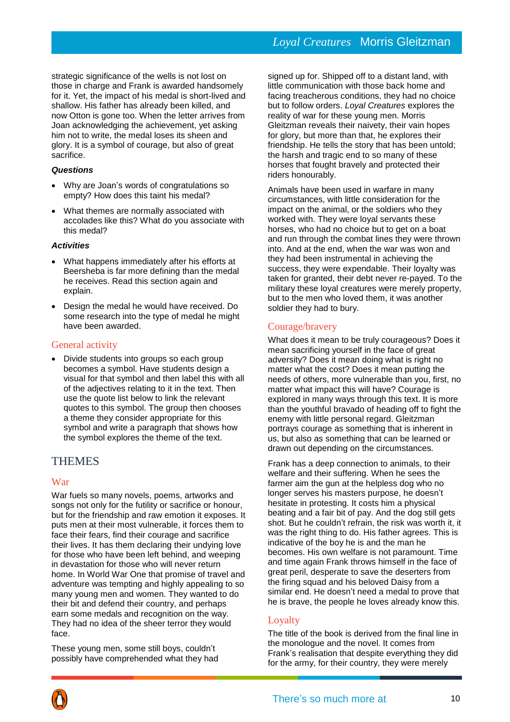strategic significance of the wells is not lost on those in charge and Frank is awarded handsomely for it. Yet, the impact of his medal is short-lived and shallow. His father has already been killed, and now Otton is gone too. When the letter arrives from Joan acknowledging the achievement, yet asking him not to write, the medal loses its sheen and glory. It is a symbol of courage, but also of great sacrifice.

### *Questions*

- Why are Joan's words of congratulations so empty? How does this taint his medal?
- What themes are normally associated with accolades like this? What do you associate with this medal?

### *Activities*

- What happens immediately after his efforts at Beersheba is far more defining than the medal he receives. Read this section again and explain.
- Design the medal he would have received. Do some research into the type of medal he might have been awarded.

### General activity

• Divide students into groups so each group becomes a symbol. Have students design a visual for that symbol and then label this with all of the adjectives relating to it in the text. Then use the quote list below to link the relevant quotes to this symbol. The group then chooses a theme they consider appropriate for this symbol and write a paragraph that shows how the symbol explores the theme of the text.

### **THEMES**

### War

War fuels so many novels, poems, artworks and songs not only for the futility or sacrifice or honour, but for the friendship and raw emotion it exposes. It puts men at their most vulnerable, it forces them to face their fears, find their courage and sacrifice their lives. It has them declaring their undying love for those who have been left behind, and weeping in devastation for those who will never return home. In World War One that promise of travel and adventure was tempting and highly appealing to so many young men and women. They wanted to do their bit and defend their country, and perhaps earn some medals and recognition on the way. They had no idea of the sheer terror they would face.

These young men, some still boys, couldn't possibly have comprehended what they had

signed up for. Shipped off to a distant land, with little communication with those back home and facing treacherous conditions, they had no choice but to follow orders. *Loyal Creatures* explores the reality of war for these young men. Morris Gleitzman reveals their naivety, their vain hopes for glory, but more than that, he explores their friendship. He tells the story that has been untold; the harsh and tragic end to so many of these horses that fought bravely and protected their riders honourably.

Animals have been used in warfare in many circumstances, with little consideration for the impact on the animal, or the soldiers who they worked with. They were loyal servants these horses, who had no choice but to get on a boat and run through the combat lines they were thrown into. And at the end, when the war was won and they had been instrumental in achieving the success, they were expendable. Their loyalty was taken for granted, their debt never re-payed. To the military these loyal creatures were merely property, but to the men who loved them, it was another soldier they had to bury.

### Courage/bravery

What does it mean to be truly courageous? Does it mean sacrificing yourself in the face of great adversity? Does it mean doing what is right no matter what the cost? Does it mean putting the needs of others, more vulnerable than you, first, no matter what impact this will have? Courage is explored in many ways through this text. It is more than the youthful bravado of heading off to fight the enemy with little personal regard. Gleitzman portrays courage as something that is inherent in us, but also as something that can be learned or drawn out depending on the circumstances.

Frank has a deep connection to animals, to their welfare and their suffering. When he sees the farmer aim the gun at the helpless dog who no longer serves his masters purpose, he doesn't hesitate in protesting. It costs him a physical beating and a fair bit of pay. And the dog still gets shot. But he couldn't refrain, the risk was worth it, it was the right thing to do. His father agrees. This is indicative of the boy he is and the man he becomes. His own welfare is not paramount. Time and time again Frank throws himself in the face of great peril, desperate to save the deserters from the firing squad and his beloved Daisy from a similar end. He doesn't need a medal to prove that he is brave, the people he loves already know this.

### Loyalty

The title of the book is derived from the final line in the monologue and the novel. It comes from Frank's realisation that despite everything they did for the army, for their country, they were merely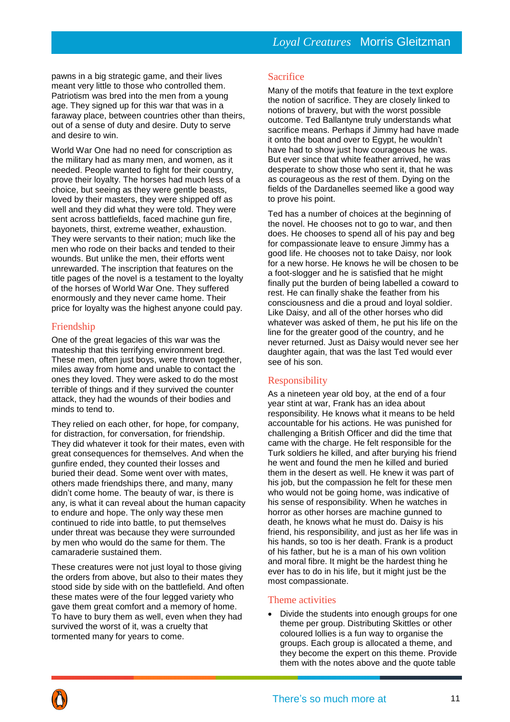pawns in a big strategic game, and their lives meant very little to those who controlled them. Patriotism was bred into the men from a young age. They signed up for this war that was in a faraway place, between countries other than theirs, out of a sense of duty and desire. Duty to serve and desire to win.

World War One had no need for conscription as the military had as many men, and women, as it needed. People wanted to fight for their country, prove their loyalty. The horses had much less of a choice, but seeing as they were gentle beasts, loved by their masters, they were shipped off as well and they did what they were told. They were sent across battlefields, faced machine gun fire, bayonets, thirst, extreme weather, exhaustion. They were servants to their nation; much like the men who rode on their backs and tended to their wounds. But unlike the men, their efforts went unrewarded. The inscription that features on the title pages of the novel is a testament to the loyalty of the horses of World War One. They suffered enormously and they never came home. Their price for loyalty was the highest anyone could pay.

### Friendship

One of the great legacies of this war was the mateship that this terrifying environment bred. These men, often just boys, were thrown together, miles away from home and unable to contact the ones they loved. They were asked to do the most terrible of things and if they survived the counter attack, they had the wounds of their bodies and minds to tend to.

They relied on each other, for hope, for company, for distraction, for conversation, for friendship. They did whatever it took for their mates, even with great consequences for themselves. And when the gunfire ended, they counted their losses and buried their dead. Some went over with mates, others made friendships there, and many, many didn't come home. The beauty of war, is there is any, is what it can reveal about the human capacity to endure and hope. The only way these men continued to ride into battle, to put themselves under threat was because they were surrounded by men who would do the same for them. The camaraderie sustained them.

These creatures were not just loyal to those giving the orders from above, but also to their mates they stood side by side with on the battlefield. And often these mates were of the four legged variety who gave them great comfort and a memory of home. To have to bury them as well, even when they had survived the worst of it, was a cruelty that tormented many for years to come.

### **Sacrifice**

Many of the motifs that feature in the text explore the notion of sacrifice. They are closely linked to notions of bravery, but with the worst possible outcome. Ted Ballantyne truly understands what sacrifice means. Perhaps if Jimmy had have made it onto the boat and over to Egypt, he wouldn't have had to show just how courageous he was. But ever since that white feather arrived, he was desperate to show those who sent it, that he was as courageous as the rest of them. Dying on the fields of the Dardanelles seemed like a good way to prove his point.

Ted has a number of choices at the beginning of the novel. He chooses not to go to war, and then does. He chooses to spend all of his pay and beg for compassionate leave to ensure Jimmy has a good life. He chooses not to take Daisy, nor look for a new horse. He knows he will be chosen to be a foot-slogger and he is satisfied that he might finally put the burden of being labelled a coward to rest. He can finally shake the feather from his consciousness and die a proud and loyal soldier. Like Daisy, and all of the other horses who did whatever was asked of them, he put his life on the line for the greater good of the country, and he never returned. Just as Daisy would never see her daughter again, that was the last Ted would ever see of his son.

### Responsibility

As a nineteen year old boy, at the end of a four year stint at war, Frank has an idea about responsibility. He knows what it means to be held accountable for his actions. He was punished for challenging a British Officer and did the time that came with the charge. He felt responsible for the Turk soldiers he killed, and after burying his friend he went and found the men he killed and buried them in the desert as well. He knew it was part of his job, but the compassion he felt for these men who would not be going home, was indicative of his sense of responsibility. When he watches in horror as other horses are machine gunned to death, he knows what he must do. Daisy is his friend, his responsibility, and just as her life was in his hands, so too is her death. Frank is a product of his father, but he is a man of his own volition and moral fibre. It might be the hardest thing he ever has to do in his life, but it might just be the most compassionate.

### Theme activities

 Divide the students into enough groups for one theme per group. Distributing Skittles or other coloured lollies is a fun way to organise the groups. Each group is allocated a theme, and they become the expert on this theme. Provide them with the notes above and the quote table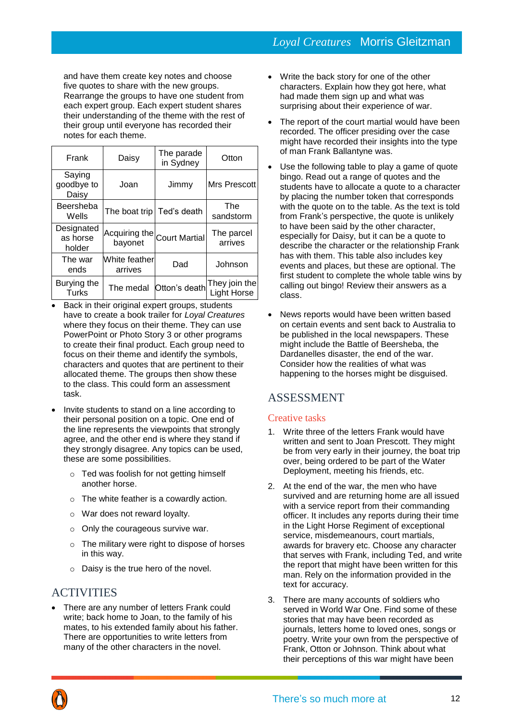and have them create key notes and choose five quotes to share with the new groups. Rearrange the groups to have one student from each expert group. Each expert student shares their understanding of the theme with the rest of their group until everyone has recorded their notes for each theme.

| Frank                                       | Daisy                    | The parade<br>in Sydney | Otton                               |  |
|---------------------------------------------|--------------------------|-------------------------|-------------------------------------|--|
| Saying<br>goodbye to<br>Daisy               | Joan                     | Jimmy                   | Mrs Prescott                        |  |
| Beersheba<br>Wells                          | The boat trip            | Ted's death             | The<br>sandstorm                    |  |
| Designated<br>as horse<br>holder            | Acquiring the<br>bayonet | <b>Court Martial</b>    | The parcel<br>arrives               |  |
| White feather<br>The war<br>arrives<br>ends |                          | Dad                     | Johnson                             |  |
| Burying the<br>Turks                        | The medal                | Otton's death           | They join the<br><b>Light Horse</b> |  |

- Back in their original expert groups, students have to create a book trailer for *Loyal Creatures* where they focus on their theme. They can use PowerPoint or Photo Story 3 or other programs to create their final product. Each group need to focus on their theme and identify the symbols, characters and quotes that are pertinent to their allocated theme. The groups then show these to the class. This could form an assessment task.
- Invite students to stand on a line according to their personal position on a topic. One end of the line represents the viewpoints that strongly agree, and the other end is where they stand if they strongly disagree. Any topics can be used, these are some possibilities.
	- o Ted was foolish for not getting himself another horse.
	- o The white feather is a cowardly action.
	- o War does not reward loyalty.
	- o Only the courageous survive war.
	- o The military were right to dispose of horses in this way.
	- o Daisy is the true hero of the novel.

### ACTIVITIES

 There are any number of letters Frank could write; back home to Joan, to the family of his mates, to his extended family about his father. There are opportunities to write letters from many of the other characters in the novel.

- Write the back story for one of the other characters. Explain how they got here, what had made them sign up and what was surprising about their experience of war.
- The report of the court martial would have been recorded. The officer presiding over the case might have recorded their insights into the type of man Frank Ballantyne was.
- Use the following table to play a game of quote bingo. Read out a range of quotes and the students have to allocate a quote to a character by placing the number token that corresponds with the quote on to the table. As the text is told from Frank's perspective, the quote is unlikely to have been said by the other character, especially for Daisy, but it can be a quote to describe the character or the relationship Frank has with them. This table also includes key events and places, but these are optional. The first student to complete the whole table wins by calling out bingo! Review their answers as a class.
- News reports would have been written based on certain events and sent back to Australia to be published in the local newspapers. These might include the Battle of Beersheba, the Dardanelles disaster, the end of the war. Consider how the realities of what was happening to the horses might be disguised.

### ASSESSMENT

### Creative tasks

- 1. Write three of the letters Frank would have written and sent to Joan Prescott. They might be from very early in their journey, the boat trip over, being ordered to be part of the Water Deployment, meeting his friends, etc.
- 2. At the end of the war, the men who have survived and are returning home are all issued with a service report from their commanding officer. It includes any reports during their time in the Light Horse Regiment of exceptional service, misdemeanours, court martials, awards for bravery etc. Choose any character that serves with Frank, including Ted, and write the report that might have been written for this man. Rely on the information provided in the text for accuracy.
- 3. There are many accounts of soldiers who served in World War One. Find some of these stories that may have been recorded as journals, letters home to loved ones, songs or poetry. Write your own from the perspective of Frank, Otton or Johnson. Think about what their perceptions of this war might have been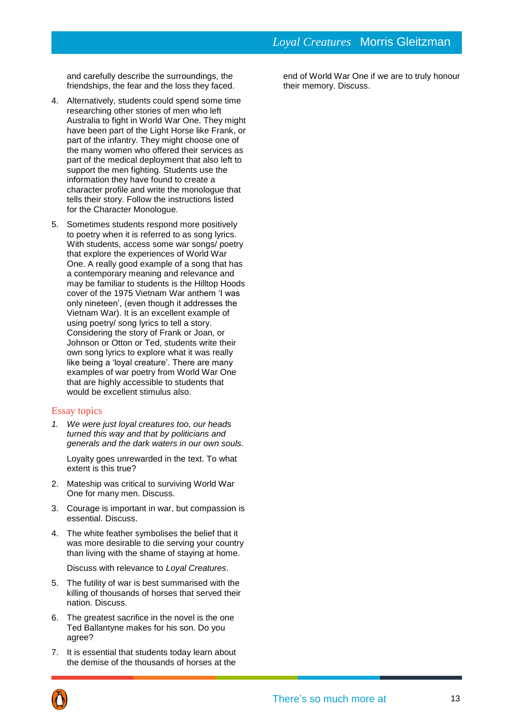and carefully describe the surroundings, the friendships, the fear and the loss they faced.

- 4. Alternatively, students could spend some time researching other stories of men who left Australia to fight in World War One. They might have been part of the Light Horse like Frank, or part of the infantry. They might choose one of the many women who offered their services as part of the medical deployment that also left to support the men fighting. Students use the information they have found to create a character profile and write the monologue that tells their story. Follow the instructions listed for the Character Monologue.
- 5. Sometimes students respond more positively to poetry when it is referred to as song lyrics. With students, access some war songs/ poetry that explore the experiences of World War One. A really good example of a song that has a contemporary meaning and relevance and may be familiar to students is the Hilltop Hoods cover of the 1975 Vietnam War anthem 'I was only nineteen', (even though it addresses the Vietnam War). It is an excellent example of using poetry/ song lyrics to tell a story. Considering the story of Frank or Joan, or Johnson or Otton or Ted, students write their own song lyrics to explore what it was really like being a 'loyal creature'. There are many examples of war poetry from World War One that are highly accessible to students that would be excellent stimulus also.

### Essay topics

*1. We were just loyal creatures too, our heads turned this way and that by politicians and generals and the dark waters in our own souls.*

Loyalty goes unrewarded in the text. To what extent is this true?

- 2. Mateship was critical to surviving World War One for many men. Discuss.
- 3. Courage is important in war, but compassion is essential. Discuss.
- 4. The white feather symbolises the belief that it was more desirable to die serving your country than living with the shame of staying at home.

Discuss with relevance to *Loyal Creatures*.

- 5. The futility of war is best summarised with the killing of thousands of horses that served their nation. Discuss.
- 6. The greatest sacrifice in the novel is the one Ted Ballantyne makes for his son. Do you agree?
- 7. It is essential that students today learn about the demise of the thousands of horses at the

end of World War One if we are to truly honour their memory. Discuss.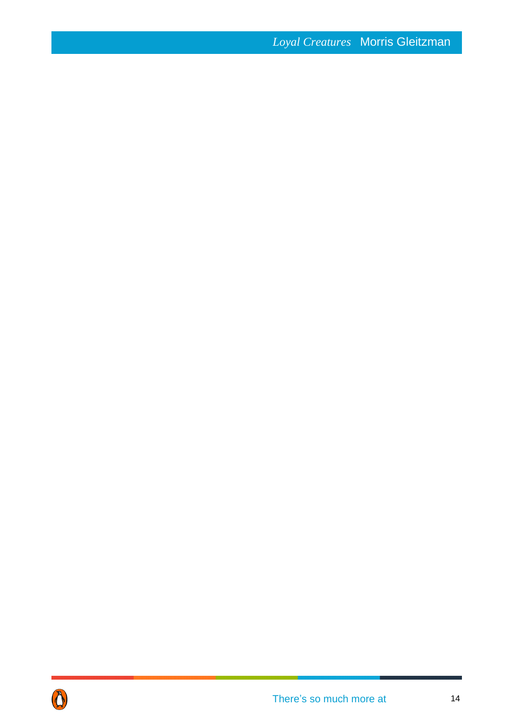